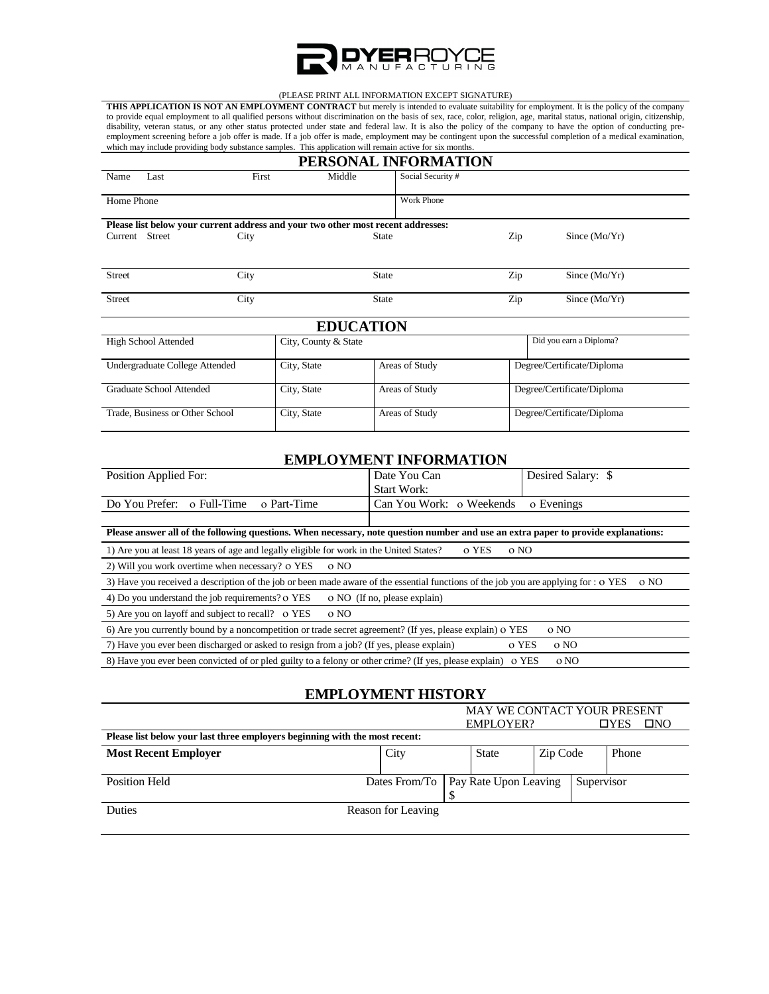

#### (PLEASE PRINT ALL INFORMATION EXCEPT SIGNATURE)

**THIS APPLICATION IS NOT AN EMPLOYMENT CONTRACT** but merely is intended to evaluate suitability for employment. It is the policy of the company to provide equal employment to all qualified persons without discrimination on the basis of sex, race, color, religion, age, marital status, national origin, citizenship, disability, veteran status, or any other status protected under state and federal law. It is also the policy of the company to have the option of conducting preemployment screening before a job offer is made. If a job offer is made, employment may be contingent upon the successful completion of a medical examination, which may include providing body substance samples. This application will remain active for six months.

|                                |                                                                                  |       |                      | PERSONAL INFORMATION |     |                            |  |  |
|--------------------------------|----------------------------------------------------------------------------------|-------|----------------------|----------------------|-----|----------------------------|--|--|
| Name                           | Last                                                                             | First | Middle               | Social Security #    |     |                            |  |  |
| Home Phone                     |                                                                                  |       |                      | Work Phone           |     |                            |  |  |
|                                | Please list below your current address and your two other most recent addresses: |       |                      |                      |     |                            |  |  |
| Current Street<br>City         |                                                                                  |       | <b>State</b>         |                      | Zip | Since $(Mo/Yr)$            |  |  |
| <b>Street</b>                  |                                                                                  | City  | <b>State</b>         |                      | Zip | Since $(Mo/Yr)$            |  |  |
| <b>Street</b>                  |                                                                                  | City  | <b>State</b>         |                      | Zip | Since $(Mo/Yr)$            |  |  |
|                                |                                                                                  |       | <b>EDUCATION</b>     |                      |     |                            |  |  |
|                                | <b>High School Attended</b>                                                      |       | City, County & State |                      |     | Did you earn a Diploma?    |  |  |
| Undergraduate College Attended |                                                                                  |       | City, State          | Areas of Study       |     | Degree/Certificate/Diploma |  |  |
|                                | Graduate School Attended                                                         |       | City, State          | Areas of Study       |     | Degree/Certificate/Diploma |  |  |
|                                | Trade, Business or Other School                                                  |       | City, State          | Areas of Study       |     | Degree/Certificate/Diploma |  |  |

#### **EMPLOYMENT INFORMATION**

| Position Applied For:                                                                                                               | Date You Can<br><b>Start Work:</b>     | Desired Salary: \$ |  |  |  |
|-------------------------------------------------------------------------------------------------------------------------------------|----------------------------------------|--------------------|--|--|--|
| Do You Prefer:<br>o Full-Time<br>o Part-Time                                                                                        | Can You Work: o Weekends<br>o Evenings |                    |  |  |  |
| Please answer all of the following questions. When necessary, note question number and use an extra paper to provide explanations:  |                                        |                    |  |  |  |
| 1) Are you at least 18 years of age and legally eligible for work in the United States?                                             | o YES                                  | o NO               |  |  |  |
| 2) Will you work overtime when necessary? o YES<br>0 NO                                                                             |                                        |                    |  |  |  |
| 3) Have you received a description of the job or been made aware of the essential functions of the job you are applying for : o YES |                                        | o NO               |  |  |  |
| 4) Do you understand the job requirements? o YES                                                                                    | o NO (If no, please explain)           |                    |  |  |  |
| 5) Are you on layoff and subject to recall? o YES<br>o NO                                                                           |                                        |                    |  |  |  |
| 6) Are you currently bound by a noncompetition or trade secret agreement? (If yes, please explain) O YES                            |                                        | o NO               |  |  |  |
| 7) Have you ever been discharged or asked to resign from a job? (If yes, please explain)                                            |                                        | o YES<br>o NO      |  |  |  |
| 8) Have you ever been convicted of or pled guilty to a felony or other crime? (If yes, please explain) o YES                        |                                        | o NO               |  |  |  |

## **EMPLOYMENT HISTORY**

|                                                                             | <b>MAY WE CONTACT YOUR PRESENT</b> |                  |                                       |          |  |                            |  |
|-----------------------------------------------------------------------------|------------------------------------|------------------|---------------------------------------|----------|--|----------------------------|--|
|                                                                             |                                    | <b>EMPLOYER?</b> |                                       |          |  | $\square$ NO<br>$\Box$ YES |  |
| Please list below your last three employers beginning with the most recent: |                                    |                  |                                       |          |  |                            |  |
| <b>Most Recent Employer</b>                                                 | City                               |                  | <b>State</b>                          | Zip Code |  | Phone                      |  |
|                                                                             |                                    |                  |                                       |          |  |                            |  |
| <b>Position Held</b>                                                        |                                    |                  | Dates From/To   Pay Rate Upon Leaving |          |  | Supervisor                 |  |
|                                                                             |                                    |                  |                                       |          |  |                            |  |
| <b>Duties</b>                                                               | Reason for Leaving                 |                  |                                       |          |  |                            |  |
|                                                                             |                                    |                  |                                       |          |  |                            |  |